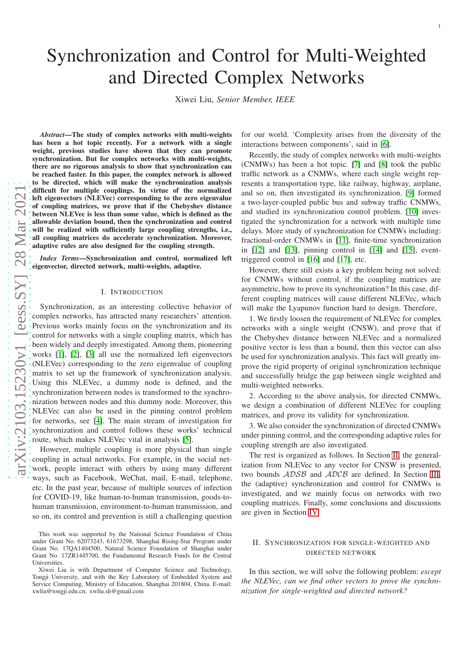# Synchronization and Control for Multi-Weighted and Directed Complex Networks

Xiwei Liu, *Senior Member, IEEE*

*Abstract*—The study of complex networks with multi-weights has been a hot topic recently. For a network with a single weight, previous studies have shown that they can promote synchronization. But for complex networks with multi-weights, there are no rigorous analysis to show that synchronization can be reached faster. In this paper, the complex network is allowed to be directed, which will make the synchronization analysis difficult for multiple couplings. In virtue of the normalized left eigenvectors (NLEVec) corresponding to the zero eigenvalue of coupling matrices, we prove that if the Chebyshev distance between NLEVec is less than some value, which is defined as the allowable deviation bound, then the synchronization and control will be realized with sufficiently large coupling strengths, i.e., all coupling matrices do accelerate synchronization. Moreover, adaptive rules are also designed for the coupling strength.

*Index Terms*—Synchronization and control, normalized left eigenvector, directed network, multi-weights, adaptive.

## I. INTRODUCTION

Synchronization, as an interesting collective behavior of complex networks, has attracted many researchers' attention. Previous works mainly focus on the synchronization and its control for networks with a single coupling matrix, which has been widely and deeply investigated. Among them, pioneering works [\[1\]](#page-5-0), [\[2\]](#page-5-1), [\[3\]](#page-5-2) all use the normalized left eigenvectors (NLEVec) corresponding to the zero eigenvalue of coupling matrix to set up the framework of synchronization analysis. Using this NLEVec, a dummy node is defined, and the synchronization between nodes is transformed to the synchronization between nodes and this dummy node. Moreover, this NLEVec can also be used in the pinning control problem for networks, see [\[4\]](#page-5-3). The main stream of investigation for synchronization and control follows these works' technical route, which makes NLEVec vital in analysis [\[5\]](#page-5-4).

However, multiple coupling is more physical than single coupling in actual networks. For example, in the social network, people interact with others by using many different ways, such as Facebook, WeChat, mail, E-mail, telephone, etc. In the past year, because of multiple sources of infection for COVID-19, like human-to-human transmission, goods-tohuman transmission, environment-to-human transmission, and so on, its control and prevention is still a challenging question

for our world. 'Complexity arises from the diversity of the interactions between components', said in [\[6\]](#page-5-5).

Recently, the study of complex networks with multi-weights (CNMWs) has been a hot topic. [\[7\]](#page-5-6) and [\[8\]](#page-5-7) took the public traffic network as a CNMWs, where each single weight represents a transportation type, like railway, highway, airplane, and so on, then investigated its synchronization. [\[9\]](#page-5-8) formed a two-layer-coupled public bus and subway traffic CNMWs, and studied its synchronization control problem. [\[10\]](#page-5-9) investigated the synchronization for a network with multiple time delays. More study of synchronization for CNMWs including: fractional-order CNMWs in [\[11\]](#page-5-10), finite-time synchronization in [\[12\]](#page-5-11) and [\[13\]](#page-5-12), pinning control in [\[14\]](#page-5-13) and [\[15\]](#page-5-14), eventtriggered control in [\[16\]](#page-5-15) and [\[17\]](#page-5-16), etc.

However, there still exists a key problem being not solved: for CNMWs without control, if the coupling matrices are asymmetric, how to prove its synchronization? In this case, different coupling matrices will cause different NLEVec, which will make the Lyapunov function hard to design. Therefore,

1. We firstly loosen the requirement of NLEVec for complex networks with a single weight (CNSW), and prove that if the Chebyshev distance between NLEVec and a normalized positive vector is less than a bound, then this vector can also be used for synchronization analysis. This fact will greatly improve the rigid property of original synchronization technique and successfully bridge the gap between single weighted and multi-weighted networks.

2. According to the above analysis, for directed CNMWs, we design a combination of different NLEVec for coupling matrices, and prove its validity for synchronization.

3. We also consider the synchronization of directed CNMWs under pinning control, and the corresponding adaptive rules for coupling strength are also investigated.

The rest is organized as follows. In Section [II,](#page-0-0) the generalization from NLEVec to any vector for CNSW is presented, two bounds ADSB and ADCB are defined. In Section [III,](#page-2-0) the (adaptive) synchronization and control for CNMWs is investigated, and we mainly focus on networks with two coupling matrices. Finally, some conclusions and discussions are given in Section [IV.](#page-5-17)

# <span id="page-0-0"></span>II. SYNCHRONIZATION FOR SINGLE-WEIGHTED AND DIRECTED NETWORK

In this section, we will solve the following problem: *except the NLEVec, can we find other vectors to prove the synchronization for single-weighted and directed network?*

This work was supported by the National Science Foundation of China under Grant No. 62073243, 61673298, Shanghai Rising-Star Program under Grant No. 17QA1404500, Natural Science Foundation of Shanghai under Grant No. 17ZR1445700, the Fundamental Research Funds for the Central Universities.

Xiwei Liu is with Department of Computer Science and Technology, Tongji University, and with the Key Laboratory of Embedded System and Service Computing, Ministry of Education, Shanghai 201804, China. E-mail: xwliu@tongji.edu.cn; xwliu.sh@gmail.com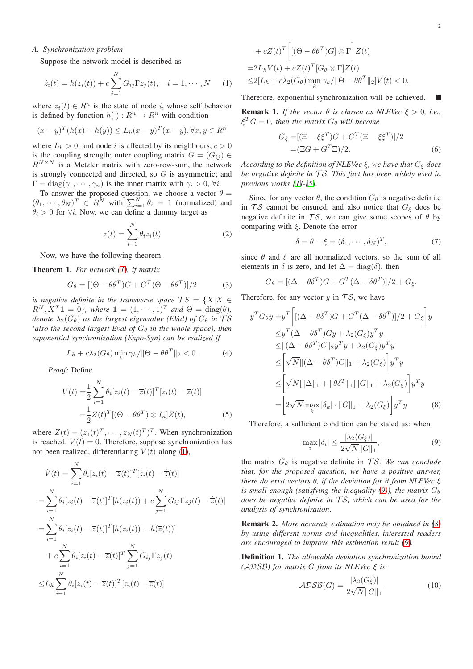## *A. Synchronization problem*

Suppose the network model is described as

$$
\dot{z}_i(t) = h(z_i(t)) + c \sum_{j=1}^{N} G_{ij} \Gamma z_j(t), \quad i = 1, \cdots, N \quad (1)
$$

where  $z_i(t) \in R^n$  is the state of node i, whose self behavior is defined by function  $h(\cdot): R^n \to R^n$  with condition

$$
(x - y)^{T} (h(x) - h(y)) \le L_h (x - y)^{T} (x - y), \forall x, y \in R^{n}
$$

where  $L_h > 0$ , and node i is affected by its neighbours;  $c > 0$ is the coupling strength; outer coupling matrix  $G = (G_{ij}) \in$  $R^{N \times N}$  is a Metzler matrix with zero-row-sum, the network is strongly connected and directed, so G is asymmetric; and  $\Gamma = \text{diag}(\gamma_1, \dots, \gamma_n)$  is the inner matrix with  $\gamma_i > 0$ ,  $\forall i$ .

To answer the proposed question, we choose a vector  $\theta =$  $(\theta_1, \dots, \theta_N)^T \in R^N$  with  $\sum_{i=1}^N \theta_i = 1$  (normalized) and  $\theta_i > 0$  for  $\forall i$ . Now, we can define a dummy target as

$$
\overline{z}(t) = \sum_{i=1}^{N} \theta_i z_i(t)
$$
 (2)

Now, we have the following theorem.

<span id="page-1-6"></span>Theorem 1. *For network [\(1\)](#page-1-0), if matrix*

$$
G_{\theta} = [(\Theta - \theta \theta^T)G + G^T(\Theta - \theta \theta^T)]/2 \tag{3}
$$

*is negative definite in the transverse space*  $TS = \{X | X \in$  $R^N$ ,  $X^T$ **1** = 0*}, where* **1** =  $(1, \cdots, 1)^T$  *and*  $\Theta$  = diag( $\theta$ )*, denote*  $\lambda_2(G_\theta)$  *as the largest eigenvalue (EVal) of*  $G_\theta$  *in*  $\mathcal{TS}$ *(also the second largest Eval of*  $G_{\theta}$  *in the whole space), then exponential synchronization (Expo-Syn) can be realized if*

$$
L_h + c\lambda_2(G_\theta) \min_k \gamma_k / \|\Theta - \theta\theta^T\|_2 < 0. \tag{4}
$$

*Proof:* Define

$$
V(t) = \frac{1}{2} \sum_{i=1}^{N} \theta_i [z_i(t) - \overline{z}(t)]^T [z_i(t) - \overline{z}(t)]
$$
  

$$
= \frac{1}{2} Z(t)^T [(\Theta - \theta \theta^T) \otimes I_n] Z(t),
$$
 (5)

where  $Z(t) = (z_1(t)^T, \dots, z_N(t)^T)^T$ . When synchronization is reached,  $V(t) = 0$ . Therefore, suppose synchronization has not been realized, differentiating  $V(t)$  along [\(1\)](#page-1-0),

$$
\dot{V}(t) = \sum_{i=1}^{N} \theta_i [z_i(t) - \overline{z}(t)]^T [\dot{z}_i(t) - \dot{\overline{z}}(t)]
$$
\n
$$
= \sum_{i=1}^{N} \theta_i [z_i(t) - \overline{z}(t)]^T [h(z_i(t)) + c \sum_{j=1}^{N} G_{ij} \Gamma z_j(t) - \dot{\overline{z}}(t)]
$$
\n
$$
= \sum_{i=1}^{N} \theta_i [z_i(t) - \overline{z}(t)]^T [h(z_i(t)) - h(\overline{z}(t))]
$$
\n
$$
+ c \sum_{i=1}^{N} \theta_i [z_i(t) - \overline{z}(t)]^T \sum_{j=1}^{N} G_{ij} \Gamma z_j(t)
$$
\n
$$
\leq L_h \sum_{i=1}^{N} \theta_i [z_i(t) - \overline{z}(t)]^T [z_i(t) - \overline{z}(t)]
$$

+ 
$$
cZ(t)^T \Big[ [(\Theta - \theta \theta^T) G] \otimes \Gamma \Big] Z(t)
$$
  
=  $2L_h V(t) + cZ(t)^T [G_\theta \otimes \Gamma] Z(t)$   
 $\leq 2[L_h + c\lambda_2(G_\theta) \min_k \gamma_k / ||\Theta - \theta \theta^T||_2] V(t) < 0.$ 

<span id="page-1-0"></span>Therefore, exponential synchronization will be achieved.

**Remark 1.** *If the vector*  $\theta$  *is chosen as NLEVec*  $\xi > 0$ *, i.e.,*  $\xi^T G = 0$ , then the matrix  $G_{\theta}$  will become

<span id="page-1-3"></span>
$$
G_{\xi} = [(\Xi - \xi \xi^{T})G + G^{T}(\Xi - \xi \xi^{T})]/2
$$
  
= (\Xi G + G^{T}\Xi)/2. (6)

*According to the definition of NLEVec* ξ*, we have that* G<sup>ξ</sup> *does be negative definite in* T S*. This fact has been widely used in previous works [\[1\]](#page-5-0)-[\[5\]](#page-5-4).*

Since for any vector  $\theta$ , the condition  $G_{\theta}$  is negative definite in  $TS$  cannot be ensured, and also notice that  $G_{\xi}$  does be negative definite in  $TS$ , we can give some scopes of  $\theta$  by comparing with  $\xi$ . Denote the error

$$
\delta = \theta - \xi = (\delta_1, \cdots, \delta_N)^T, \tag{7}
$$

since  $\theta$  and  $\xi$  are all normalized vectors, so the sum of all elements in  $\delta$  is zero, and let  $\Delta = \text{diag}(\delta)$ , then

$$
G_{\theta} = [(\Delta - \theta \delta^T)G + G^T(\Delta - \delta \theta^T)]/2 + G_{\xi}.
$$

<span id="page-1-4"></span>Therefore, for any vector  $y$  in  $\mathcal{TS}$ , we have

$$
y^T G_\theta y = y^T \left[ [(\Delta - \theta \delta^T) G + G^T (\Delta - \delta \theta^T)]/2 + G_\xi \right] y
$$
  
\n
$$
\leq y^T (\Delta - \theta \delta^T) G y + \lambda_2 (G_\xi) y^T y
$$
  
\n
$$
\leq ||(\Delta - \theta \delta^T) G||_2 y^T y + \lambda_2 (G_\xi) y^T y
$$
  
\n
$$
\leq \left[ \sqrt{N} ||(\Delta - \theta \delta^T) G||_1 + \lambda_2 (G_\xi) \right] y^T y
$$
  
\n
$$
\leq \left[ \sqrt{N} ||\Delta||_1 + ||\theta \delta^T||_1 |||G||_1 + \lambda_2 (G_\xi) \right] y^T y
$$
  
\n
$$
= \left[ 2\sqrt{N} \max_k |\delta_k| \cdot ||G||_1 + \lambda_2 (G_\xi) \right] y^T y \tag{8}
$$

<span id="page-1-5"></span>Therefore, a sufficient condition can be stated as: when

<span id="page-1-2"></span><span id="page-1-1"></span>
$$
\max_{i} |\delta_{i}| \leq \frac{|\lambda_{2}(G_{\xi})|}{2\sqrt{N}||G||_{1}},
$$
\n(9)

the matrix  $G_{\theta}$  is negative definite in TS. We can conclude *that, for the proposed question, we have a positive answer, there do exist vectors* θ*, if the deviation for* θ *from NLEVec* ξ *is small enough (satisfying the inequality [\(9\)](#page-1-1)), the matrix*  $G_{\theta}$ *does be negative definite in* T S*, which can be used for the analysis of synchronization*.

Remark 2. *More accurate estimation may be obtained in [\(8\)](#page-1-2) by using different norms and inequalities, interested readers are encouraged to improve this estimation result [\(9\)](#page-1-1).*

Definition 1. *The allowable deviation synchronization bound (*ADSB*) for matrix* G *from its NLEVec* ξ *is:*

$$
\mathcal{ADSB}(G) = \frac{|\lambda_2(G_{\xi})|}{2\sqrt{N}||G||_1}
$$
 (10)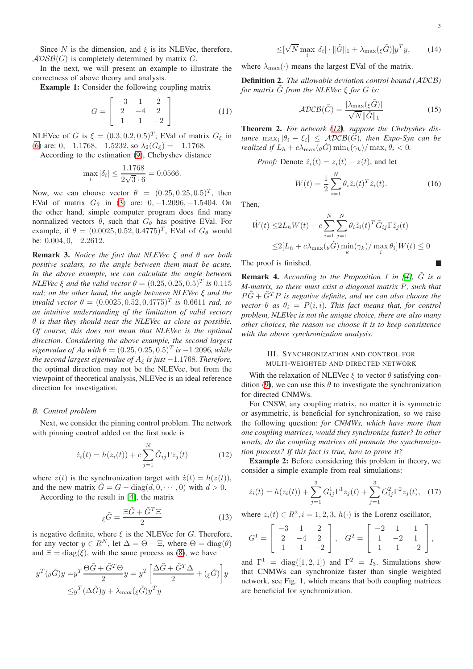Since N is the dimension, and  $\xi$  is its NLEVec, therefore,  $ADSB(G)$  is completely determined by matrix G.

In the next, we will present an example to illustrate the correctness of above theory and analysis.

Example 1: Consider the following coupling matrix

$$
G = \begin{bmatrix} -3 & 1 & 2 \\ 2 & -4 & 2 \\ 1 & 1 & -2 \end{bmatrix}
$$
 (11)

NLEVec of G is  $\xi = (0.3, 0.2, 0.5)^T$ ; EVal of matrix  $G_{\xi}$  in [\(6\)](#page-1-3) are:  $0, -1.1768, -1.5232$ , so  $\lambda_2(G_\xi) = -1.1768$ .

According to the estimation [\(9\)](#page-1-1), Chebyshev distance

$$
\max_{i} |\delta_i| \le \frac{1.1768}{2\sqrt{3} \cdot 6} = 0.0566.
$$

Now, we can choose vector  $\theta = (0.25, 0.25, 0.5)^T$ , then EVal of matrix  $G_{\theta}$  in [\(3\)](#page-1-4) are: 0, -1.2096, -1.5404. On the other hand, simple computer program does find many normalized vectors  $\theta$ , such that  $G_{\theta}$  has positive EVal. For example, if  $\theta = (0.0025, 0.52, 0.4775)^T$ , EVal of  $G_{\theta}$  would be: 0.004, 0, −2.2612.

Remark 3. *Notice the fact that NLEVec* ξ *and* θ *are both positive scalars, so the angle between them must be acute. In the above example, we can calculate the angle between NLEVec*  $\xi$  *and the valid vector*  $\theta = (0.25, 0.25, 0.5)^T$  *is* 0.115 *rad; on the other hand, the angle between NLEVec* ξ *and the invalid vector*  $\theta = (0.0025, 0.52, 0.4775)^T$  *is* 0.6611 *rad, so an intuitive understanding of the limitation of valid vectors* θ *is that they should near the NLEVec as close as possible. Of course, this does not mean that NLEVec is the optimal direction. Considering the above example, the second largest eigenvalue of*  $A_{\theta}$  *with*  $\theta = (0.25, 0.25, 0.5)^T$  *is*  $-1.2096$ *, while the second largest eigenvalue of*  $A_{\xi}$  *is just*  $-1.1768$ *. Therefore,* the optimal direction may not be the NLEVec, but from the viewpoint of theoretical analysis, NLEVec is an ideal reference direction for investigation*.*

#### *B. Control problem*

Next, we consider the pinning control problem. The network with pinning control added on the first node is

$$
\dot{z}_i(t) = h(z_i(t)) + c \sum_{j=1}^N \tilde{G}_{ij} \Gamma z_j(t)
$$
\n(12)

where  $z(t)$  is the synchronization target with  $\dot{z}(t) = h(z(t)),$ and the new matrix  $\tilde{G} = G - \text{diag}(d, 0, \dots, 0)$  with  $d > 0$ .

According to the result in [\[4\]](#page-5-3), the matrix

$$
\xi \tilde{G} = \frac{\Xi \tilde{G} + \tilde{G}^T \Xi}{2} \tag{13}
$$

is negative definite, where  $\xi$  is the NLEVec for G. Therefore, for any vector  $y \in R^N$ , let  $\Delta = \Theta - \Xi$ , where  $\Theta = \text{diag}(\theta)$ and  $\Xi = \text{diag}(\xi)$ , with the same process as [\(8\)](#page-1-2), we have

$$
y^T(\theta \tilde{G})y = y^T \frac{\Theta \tilde{G} + \tilde{G}^T \Theta}{2} y = y^T \left[ \frac{\Delta \tilde{G} + \tilde{G}^T \Delta}{2} + (\xi \tilde{G}) \right] y
$$

$$
\leq y^T (\Delta \tilde{G})y + \lambda_{\max} (\xi \tilde{G}) y^T y
$$

$$
\leq [\sqrt{N} \max_{i} |\delta_{i}| \cdot ||\tilde{G}||_{1} + \lambda_{\max}(\xi \tilde{G})]y^{T}y, \qquad (14)
$$

where  $\lambda_{\text{max}}(\cdot)$  means the largest EVal of the matrix.

Definition 2. *The allowable deviation control bound (*ADCB*) for matrix*  $\ddot{G}$  *from the NLEVec*  $\xi$  *for*  $G$  *is:* 

$$
\mathcal{ADCB}(\tilde{G}) = \frac{|\lambda_{\max}(\varepsilon \tilde{G})|}{\sqrt{N} \|\tilde{G}\|_1}
$$
(15)

Theorem 2. *For network [\(12\)](#page-2-1), suppose the Chebyshev dis-* $\textit{tance } \max_i |\theta_i - \xi_i| \leq \textit{ADCB}(\tilde{G})$ , then Expo-Syn can be *realized if*  $L_h + c\lambda_{\max}(\theta \tilde{G}) \min_k(\gamma_k)/\max_i \theta_i < 0$ .

*Proof:* Denote  $\tilde{z}_i(t) = z_i(t) - z(t)$ , and let

<span id="page-2-2"></span>
$$
W(t) = \frac{1}{2} \sum_{i=1}^{N} \theta_i \tilde{z}_i(t)^T \tilde{z}_i(t).
$$
 (16)

Then,

$$
\dot{W}(t) \le 2L_h W(t) + c \sum_{i=1}^N \sum_{j=1}^N \theta_i \tilde{z}_i(t)^T \tilde{G}_{ij} \Gamma \tilde{z}_j(t)
$$
  

$$
\le 2[L_h + c\lambda_{\max}(\theta \tilde{G}) \min_k(\gamma_k) / \max_i \theta_i] W(t) \le 0
$$

The proof is finished.

**Remark 4.** According to the Proposition 1 in [\[4\]](#page-5-3),  $\tilde{G}$  is a *M-matrix, so there must exist a diagonal matrix* P*, such that*  $P\tilde{G} + \tilde{G}^T P$  *is negative definite, and we can also choose the vector*  $\theta$  *as*  $\theta_i = P(i, i)$ *. This fact means that, for control problem, NLEVec is not the unique choice, there are also many other choices, the reason we choose it is to keep consistence with the above synchronization analysis.*

# <span id="page-2-0"></span>III. SYNCHRONIZATION AND CONTROL FOR MULTI-WEIGHTED AND DIRECTED NETWORK

With the relaxation of NLEVec  $\xi$  to vector  $\theta$  satisfying con-dition [\(9\)](#page-1-1), we can use this  $\theta$  to investigate the synchronization for directed CNMWs.

For CNSW, any coupling matrix, no matter it is symmetric or asymmetric, is beneficial for synchronization, so we raise the following question: *for CNMWs, which have more than one coupling matrices, would they synchronize faster? In other words, do the coupling matrices all promote the synchronization process? If this fact is true, how to prove it?*

<span id="page-2-1"></span>Example 2: Before considering this problem in theory, we consider a simple example from real simulations:

$$
\dot{z}_i(t) = h(z_i(t)) + \sum_{j=1}^3 G_{ij}^1 \Gamma^1 z_j(t) + \sum_{j=1}^3 G_{ij}^2 \Gamma^2 z_j(t), \quad (17)
$$

where  $z_i(t) \in R^3$ ,  $i = 1, 2, 3, h(\cdot)$  is the Lorenz oscillator,

$$
G^{1} = \left[ \begin{array}{rrr} -3 & 1 & 2 \\ 2 & -4 & 2 \\ 1 & 1 & -2 \end{array} \right], \quad G^{2} = \left[ \begin{array}{rrr} -2 & 1 & 1 \\ 1 & -2 & 1 \\ 1 & 1 & -2 \end{array} \right],
$$

and  $\Gamma^1$  = diag([1, 2, 1]) and  $\Gamma^2$  =  $I_3$ . Simulations show that CNMWs can synchronize faster than single weighted network, see Fig. 1, which means that both coupling matrices are beneficial for synchronization.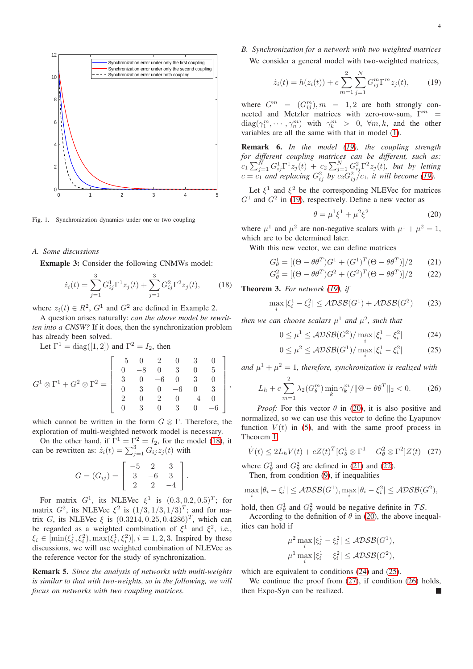

Fig. 1. Synchronization dynamics under one or two coupling

## *A. Some discussions*

Exmaple 3: Consider the following CNMWs model:

$$
\dot{z}_i(t) = \sum_{j=1}^3 G_{ij}^1 \Gamma^1 z_j(t) + \sum_{j=1}^3 G_{ij}^2 \Gamma^2 z_j(t), \qquad (18)
$$

where  $z_i(t) \in R^2$ ,  $G^1$  and  $G^2$  are defined in Example 2.

A question arises naturally: *can the above model be rewritten into a CNSW?* If it does, then the synchronization problem has already been solved.

Let  $\Gamma^1 = \text{diag}([1, 2])$  and  $\Gamma^2 = I_2$ , then

$$
G^{1} \otimes \Gamma^{1} + G^{2} \otimes \Gamma^{2} = \left[\begin{array}{cccccc} -5 & 0 & 2 & 0 & 3 & 0 \\ 0 & -8 & 0 & 3 & 0 & 5 \\ 3 & 0 & -6 & 0 & 3 & 0 \\ 0 & 3 & 0 & -6 & 0 & 3 \\ 2 & 0 & 2 & 0 & -4 & 0 \\ 0 & 3 & 0 & 3 & 0 & -6 \end{array}\right],
$$

which cannot be written in the form  $G \otimes \Gamma$ . Therefore, the exploration of multi-weighted network model is necessary.

On the other hand, if  $\Gamma^1 = \Gamma^2 = I_2$ , for the model [\(18\)](#page-3-0), it can be rewritten as:  $\dot{z}_i(t) = \sum_{j=1}^3 G_{ij} z_j(t)$  with

$$
G = (G_{ij}) = \left[ \begin{array}{rrr} -5 & 2 & 3 \\ 3 & -6 & 3 \\ 2 & 2 & -4 \end{array} \right].
$$

For matrix  $G^1$ , its NLEVec  $\xi^1$  is  $(0.3, 0.2, 0.5)^T$ ; for matrix  $G^2$ , its NLEVec  $\xi^2$  is  $(1/3, 1/3, 1/3)^T$ ; and for matrix G, its NLEVec  $\xi$  is  $(0.3214, 0.25, 0.4286)^T$ , which can be regarded as a weighted combination of  $\xi^1$  and  $\xi^2$ , i.e.,  $\xi_i \in [\min(\xi_i^1, \xi_i^2), \max(\xi_i^1, \xi_i^2)], i = 1, 2, 3$ . Inspired by these discussions, we will use weighted combination of NLEVec as the reference vector for the study of synchronization.

Remark 5. *Since the analysis of networks with multi-weights is similar to that with two-weights, so in the following, we will focus on networks with two coupling matrices.*

*B. Synchronization for a network with two weighted matrices* We consider a general model with two-weighted matrices,

<span id="page-3-1"></span>
$$
\dot{z}_i(t) = h(z_i(t)) + c \sum_{m=1}^2 \sum_{j=1}^N G_{ij}^m \Gamma^m z_j(t), \qquad (19)
$$

where  $G^m = (G_{ij}^m)$ ,  $m = 1, 2$  are both strongly connected and Metzler matrices with zero-row-sum,  $\Gamma^m$  =  $diag(\gamma^m_1, \cdots, \gamma^m_n)$  with  $\gamma^m_k > 0$ ,  $\forall m, k$ , and the other variables are all the same with that in model [\(1\)](#page-1-0).

Remark 6. *In the model [\(19\)](#page-3-1), the coupling strength for different coupling matrices can be different, such as:*  $c_1 \sum_{j=1}^N G_{ij}^1 \Gamma^1 z_j(t) + c_2 \sum_{j=1}^N G_{ij}^2 \Gamma^2 z_j(t)$ , but by letting  $c = c_1$  and replacing  $G_{ij}^2$  by  $c_2 G_{ij}^2/c_1$ , it will become [\(19\)](#page-3-1).

Let  $\xi^1$  and  $\xi^2$  be the corresponding NLEVec for matrices  $G<sup>1</sup>$  and  $G<sup>2</sup>$  in [\(19\)](#page-3-1), respectively. Define a new vector as

<span id="page-3-9"></span><span id="page-3-4"></span><span id="page-3-3"></span><span id="page-3-2"></span>
$$
\theta = \mu^1 \xi^1 + \mu^2 \xi^2 \tag{20}
$$

where  $\mu^1$  and  $\mu^2$  are non-negative scalars with  $\mu^1 + \mu^2 = 1$ , which are to be determined later.

With this new vector, we can define matrices

$$
G_{\theta}^{1} = [(\Theta - \theta \theta^{T})G^{1} + (G^{1})^{T}(\Theta - \theta \theta^{T})]/2 \qquad (21)
$$

$$
G_{\theta}^{2} = [(\Theta - \theta \theta^{T})G^{2} + (G^{2})^{T}(\Theta - \theta \theta^{T})]/2 \qquad (22)
$$

<span id="page-3-0"></span>Theorem 3. *For network [\(19\)](#page-3-1), if*

 $\overline{6}$ 

$$
\max_{i} |\xi_i^1 - \xi_i^2| \le \mathcal{ADSB}(G^1) + \mathcal{ADSB}(G^2)
$$
 (23)

then we can choose scalars  $\mu^1$  and  $\mu^2$ , such that

<span id="page-3-5"></span>
$$
0 \le \mu^1 \le \mathcal{ADSB}(G^2) / \max_i |\xi_i^1 - \xi_i^2|
$$
 (24)

<span id="page-3-8"></span><span id="page-3-6"></span>
$$
0 \le \mu^2 \le \mathcal{ADSB}(G^1) / \max_i |\xi_i^1 - \xi_i^2|
$$
 (25)

and  $\mu^1 + \mu^2 = 1$ , therefore, synchronization is realized with

$$
L_h + c \sum_{m=1}^{2} \lambda_2(G_{\theta}^m) \min_{k} \gamma_k^m / ||\Theta - \theta \theta^T||_2 < 0.
$$
 (26)

*Proof:* For this vector  $\theta$  in [\(20\)](#page-3-2), it is also positive and normalized, so we can use this vector to define the Lyapunov function  $V(t)$  in [\(5\)](#page-1-5), and with the same proof process in Theorem [1,](#page-1-6)

$$
\dot{V}(t) \le 2L_h V(t) + cZ(t)^T [G^1_\theta \otimes \Gamma^1 + G^2_\theta \otimes \Gamma^2] Z(t) \quad (27)
$$

where  $G_{\theta}^1$  and  $G_{\theta}^2$  are defined in [\(21\)](#page-3-3) and [\(22\)](#page-3-4). Then, from condition [\(9\)](#page-1-1), if inequalities

$$
\max_{i} |\theta_i - \xi_i^1| \le \mathcal{ADSB}(G^1), \max_{i} |\theta_i - \xi_i^2| \le \mathcal{ADSB}(G^2),
$$

hold, then  $G_{\theta}^1$  and  $G_{\theta}^2$  would be negative definite in  $\mathcal{TS}$ .

According to the definition of  $\theta$  in [\(20\)](#page-3-2), the above inequalities can hold if

<span id="page-3-7"></span>
$$
\mu^2 \max_i |\xi_i^1 - \xi_i^2| \le \mathcal{ADSB}(G^1),
$$
  

$$
\mu^1 \max_i |\xi_i^1 - \xi_i^2| \le \mathcal{ADSB}(G^2),
$$

which are equivalent to conditions [\(24\)](#page-3-5) and [\(25\)](#page-3-6).

We continue the proof from [\(27\)](#page-3-7), if condition [\(26\)](#page-3-8) holds, then Expo-Syn can be realized.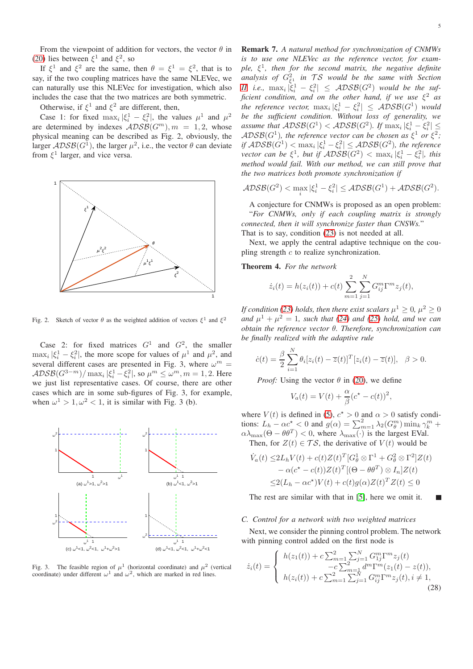If  $\xi^1$  and  $\xi^2$  are the same, then  $\theta = \xi^1 = \xi^2$ , that is to say, if the two coupling matrices have the same NLEVec, we can naturally use this NLEVec for investigation, which also includes the case that the two matrices are both symmetric.

Otherwise, if  $\xi^1$  and  $\xi^2$  are different, then,

Case 1: for fixed  $\max_i |\xi_i^1 - \xi_i^2|$ , the values  $\mu^1$  and  $\mu^2$ are determined by indexes  $\widehat{ADS}\widehat{B}(G^m), m = 1, 2$ , whose physical meaning can be described as Fig. 2, obviously, the larger  $\mathcal{ADSB}(G^{\mathbb{I}})$ , the larger  $\mu^2$ , i.e., the vector  $\theta$  can deviate from  $\xi^1$  larger, and vice versa.



Fig. 2. Sketch of vector  $\theta$  as the weighted addition of vectors  $\xi^1$  and  $\xi^2$ 

Case 2: for fixed matrices  $G^1$  and  $G^2$ , the smaller  $\max_i |\xi_i^1 - \xi_i^2|$ , the more scope for values of  $\mu^1$  and  $\mu^2$ , and several different cases are presented in Fig. 3, where  $\omega^m$  =  $\mathcal{ADSB}(G^{3-m})/\max_i |\xi_i^1 - \xi_i^2|$ , so  $\mu^m \leq \omega^m, m = 1, 2$ . Here we just list representative cases. Of course, there are other cases which are in some sub-figures of Fig. 3, for example, when  $\omega^1 > 1, \omega^2 < 1$ , it is similar with Fig. 3 (b).



Fig. 3. The feasible region of  $\mu^1$  (horizontal coordinate) and  $\mu^2$  (vertical coordinate) under different  $\omega^1$  and  $\omega^2$ , which are marked in red lines.

Remark 7. *A natural method for synchronization of CNMWs is to use one NLEVec as the reference vector, for example,* ξ 1 *, then for the second matrix, the negative definite analysis of*  $G_{\xi_1}^2$  *in*  $TS$  *would be the same with Section [II,](#page-0-0) i.e.*,  $\max_i |\xi_i^1 - \xi_i^2| \leq ADSB(G^2)$  would be the suf*ficient condition, and on the other hand, if we use* ξ <sup>2</sup> *as the reference vector,*  $\max_i |\xi_i^1 - \xi_i^2| \leq \text{ADSB}(G^1)$  *would be the sufficient condition. Without loss of generality, we assume that*  $\mathcal{ADSB}(G^1) < \mathcal{ADSB}(G^2)$ . If  $\max_i |\xi_i^1 - \xi_i^2| \leq$  $\mathcal{ADSB}(G^1)$ , the reference vector can be chosen as  $\xi^1$  or  $\xi^2$ ; *if*  $\widehat{ADSB}(G^1) < \max_i |\xi_i^1 - \xi_i^2| \leq \widehat{ADSB}(G^2)$ , the reference *vector can be*  $\xi^1$ , *but if*  $\widehat{ADSB}(G^2) < \max_i |\xi_i^1 - \xi_i^2|$ , *this method would fail. With our method, we can still prove that the two matrices both promote synchronization if*

$$
\mathcal{ADSB}(G^2) < \max_i |\xi_i^1 - \xi_i^2| \leq \mathcal{ADSB}(G^1) + \mathcal{ADSB}(G^2).
$$

A conjecture for CNMWs is proposed as an open problem: "*For CNMWs, only if each coupling matrix is strongly connected, then it will synchronize faster than CNSWs.*" That is to say, condition [\(23\)](#page-3-9) is not needed at all.

Next, we apply the central adaptive technique on the coupling strength  $c$  to realize synchronization.

Theorem 4. *For the network*

$$
\dot{z}_i(t) = h(z_i(t)) + c(t) \sum_{m=1}^{2} \sum_{j=1}^{N} G_{ij}^m \Gamma^m z_j(t),
$$

*If condition [\(23\)](#page-3-9) holds, then there exist scalars*  $\mu^1 \geq 0$ ,  $\mu^2 \geq 0$ *and*  $\mu^{1} + \mu^{2} = 1$ *, such that* [\(24\)](#page-3-5) *and* [\(25\)](#page-3-6) *hold, and we can obtain the reference vector* θ*. Therefore, synchronization can be finally realized with the adaptive rule*

$$
\dot{c}(t) = \frac{\beta}{2} \sum_{i=1}^{N} \theta_i [z_i(t) - \overline{z}(t)]^T [z_i(t) - \overline{z}(t)], \quad \beta > 0.
$$

*Proof:* Using the vector  $\theta$  in [\(20\)](#page-3-2), we define

$$
V_a(t) = V(t) + \frac{\alpha}{\beta} (c^* - c(t))^2,
$$

where  $V(t)$  is defined in [\(5\)](#page-1-5),  $c^* > 0$  and  $\alpha > 0$  satisfy conditions:  $L_h - \alpha c^* < 0$  and  $g(\alpha) = \sum_{m=1}^2 \lambda_2(G_\theta^m) \min_k \gamma_k^m$  +  $\alpha\lambda_{\max}(\Theta - \theta\theta^T) < 0$ , where  $\lambda_{\max}(\cdot)$  is the largest EVal. Then, for  $Z(t) \in \mathcal{TS}$ , the derivative of  $V(t)$  would be

$$
\dot{V}_a(t) \le 2L_h V(t) + c(t)Z(t)^T [G_\theta^1 \otimes \Gamma^1 + G_\theta^2 \otimes \Gamma^2] Z(t) \n- \alpha (c^* - c(t))Z(t)^T [(\Theta - \theta \theta^T) \otimes I_n] Z(t) \n\le 2(L_h - \alpha c^*)V(t) + c(t)g(\alpha)Z(t)^T Z(t) \le 0
$$

The rest are similar with that in [\[5\]](#page-5-4), here we omit it. П

#### *C. Control for a network with two weighted matrices*

Next, we consider the pinning control problem. The network with pinning control added on the first node is

<span id="page-4-0"></span>
$$
\dot{z}_i(t) = \begin{cases}\nh(z_1(t)) + c \sum_{m=1}^2 \sum_{j=1}^N G_{1j}^m \Gamma^m z_j(t) \\
-c \sum_{m=1}^2 d^m \Gamma^m (z_1(t) - z(t)), \\
h(z_i(t)) + c \sum_{m=1}^2 \sum_{j=1}^N G_{ij}^m \Gamma^m z_j(t), i \neq 1,\n\end{cases}
$$
\n(28)